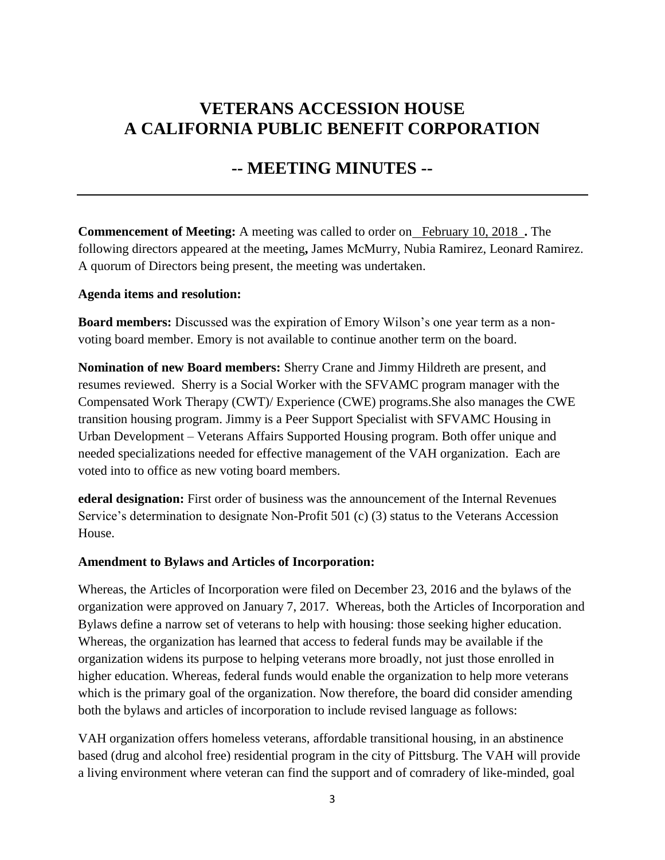### **VETERANS ACCESSION HOUSE A CALIFORNIA PUBLIC BENEFIT CORPORATION**

### **-- MEETING MINUTES --**

**Commencement of Meeting:** A meeting was called to order on February 10, 2018 **.** The following directors appeared at the meeting**,** James McMurry, Nubia Ramirez, Leonard Ramirez. A quorum of Directors being present, the meeting was undertaken.

#### **Agenda items and resolution:**

**Board members:** Discussed was the expiration of Emory Wilson's one year term as a nonvoting board member. Emory is not available to continue another term on the board.

**Nomination of new Board members:** Sherry Crane and Jimmy Hildreth are present, and resumes reviewed. Sherry is a Social Worker with the SFVAMC program manager with the Compensated Work Therapy (CWT)/ Experience (CWE) programs.She also manages the CWE transition housing program. Jimmy is a Peer Support Specialist with SFVAMC Housing in Urban Development – Veterans Affairs Supported Housing program. Both offer unique and needed specializations needed for effective management of the VAH organization. Each are voted into to office as new voting board members.

**ederal designation:** First order of business was the announcement of the Internal Revenues Service's determination to designate Non-Profit 501 (c) (3) status to the Veterans Accession House.

#### **Amendment to Bylaws and Articles of Incorporation:**

Whereas, the Articles of Incorporation were filed on December 23, 2016 and the bylaws of the organization were approved on January 7, 2017. Whereas, both the Articles of Incorporation and Bylaws define a narrow set of veterans to help with housing: those seeking higher education. Whereas, the organization has learned that access to federal funds may be available if the organization widens its purpose to helping veterans more broadly, not just those enrolled in higher education. Whereas, federal funds would enable the organization to help more veterans which is the primary goal of the organization. Now therefore, the board did consider amending both the bylaws and articles of incorporation to include revised language as follows:

VAH organization offers homeless veterans, affordable transitional housing, in an abstinence based (drug and alcohol free) residential program in the city of Pittsburg. The VAH will provide a living environment where veteran can find the support and of comradery of like-minded, goal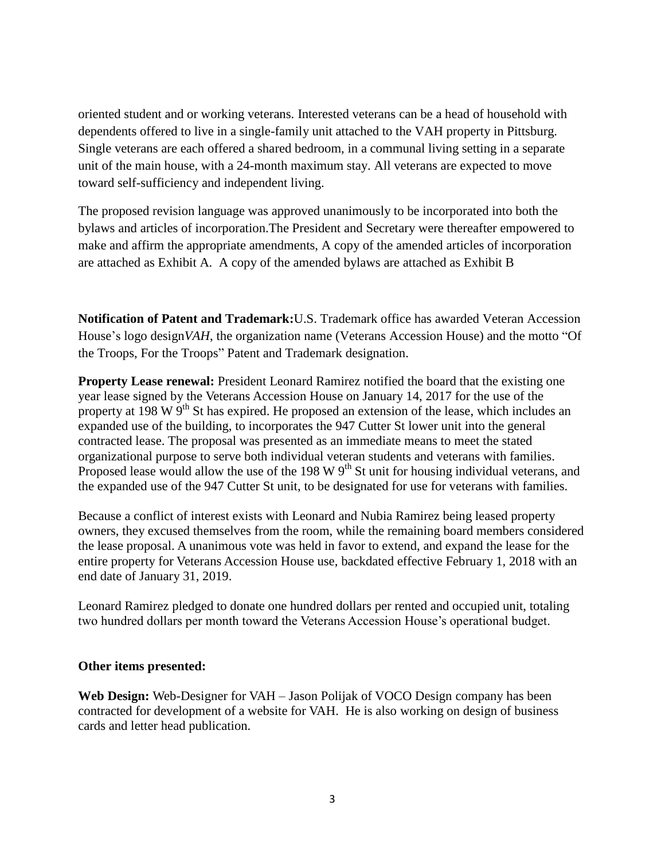oriented student and or working veterans. Interested veterans can be a head of household with dependents offered to live in a single-family unit attached to the VAH property in Pittsburg. Single veterans are each offered a shared bedroom, in a communal living setting in a separate unit of the main house, with a 24-month maximum stay. All veterans are expected to move toward self-sufficiency and independent living.

The proposed revision language was approved unanimously to be incorporated into both the bylaws and articles of incorporation.The President and Secretary were thereafter empowered to make and affirm the appropriate amendments, A copy of the amended articles of incorporation are attached as Exhibit A. A copy of the amended bylaws are attached as Exhibit B

**Notification of Patent and Trademark:**U.S. Trademark office has awarded Veteran Accession House's logo design*VAH*, the organization name (Veterans Accession House) and the motto "Of the Troops, For the Troops" Patent and Trademark designation.

**Property Lease renewal:** President Leonard Ramirez notified the board that the existing one year lease signed by the Veterans Accession House on January 14, 2017 for the use of the property at 198 W  $9<sup>th</sup>$  St has expired. He proposed an extension of the lease, which includes an expanded use of the building, to incorporates the 947 Cutter St lower unit into the general contracted lease. The proposal was presented as an immediate means to meet the stated organizational purpose to serve both individual veteran students and veterans with families. Proposed lease would allow the use of the 198 W  $9<sup>th</sup>$  St unit for housing individual veterans, and the expanded use of the 947 Cutter St unit, to be designated for use for veterans with families.

Because a conflict of interest exists with Leonard and Nubia Ramirez being leased property owners, they excused themselves from the room, while the remaining board members considered the lease proposal. A unanimous vote was held in favor to extend, and expand the lease for the entire property for Veterans Accession House use, backdated effective February 1, 2018 with an end date of January 31, 2019.

Leonard Ramirez pledged to donate one hundred dollars per rented and occupied unit, totaling two hundred dollars per month toward the Veterans Accession House's operational budget.

#### **Other items presented:**

**Web Design:** Web-Designer for VAH – Jason Polijak of VOCO Design company has been contracted for development of a website for VAH. He is also working on design of business cards and letter head publication.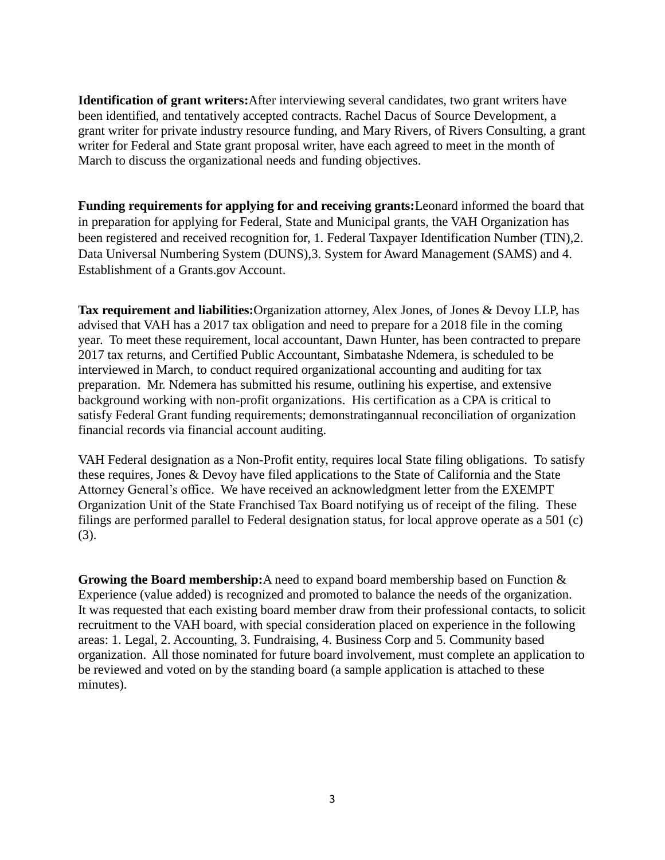**Identification of grant writers:**After interviewing several candidates, two grant writers have been identified, and tentatively accepted contracts. Rachel Dacus of Source Development, a grant writer for private industry resource funding, and Mary Rivers, of Rivers Consulting, a grant writer for Federal and State grant proposal writer, have each agreed to meet in the month of March to discuss the organizational needs and funding objectives.

**Funding requirements for applying for and receiving grants:**Leonard informed the board that in preparation for applying for Federal, State and Municipal grants, the VAH Organization has been registered and received recognition for, 1. Federal Taxpayer Identification Number (TIN),2. Data Universal Numbering System (DUNS),3. System for Award Management (SAMS) and 4. Establishment of a Grants.gov Account.

**Tax requirement and liabilities:**Organization attorney, Alex Jones, of Jones & Devoy LLP, has advised that VAH has a 2017 tax obligation and need to prepare for a 2018 file in the coming year. To meet these requirement, local accountant, Dawn Hunter, has been contracted to prepare 2017 tax returns, and Certified Public Accountant, Simbatashe Ndemera, is scheduled to be interviewed in March, to conduct required organizational accounting and auditing for tax preparation. Mr. Ndemera has submitted his resume, outlining his expertise, and extensive background working with non-profit organizations. His certification as a CPA is critical to satisfy Federal Grant funding requirements; demonstratingannual reconciliation of organization financial records via financial account auditing.

VAH Federal designation as a Non-Profit entity, requires local State filing obligations. To satisfy these requires, Jones & Devoy have filed applications to the State of California and the State Attorney General's office. We have received an acknowledgment letter from the EXEMPT Organization Unit of the State Franchised Tax Board notifying us of receipt of the filing. These filings are performed parallel to Federal designation status, for local approve operate as a 501 (c) (3).

**Growing the Board membership:**A need to expand board membership based on Function & Experience (value added) is recognized and promoted to balance the needs of the organization. It was requested that each existing board member draw from their professional contacts, to solicit recruitment to the VAH board, with special consideration placed on experience in the following areas: 1. Legal, 2. Accounting, 3. Fundraising, 4. Business Corp and 5. Community based organization. All those nominated for future board involvement, must complete an application to be reviewed and voted on by the standing board (a sample application is attached to these minutes).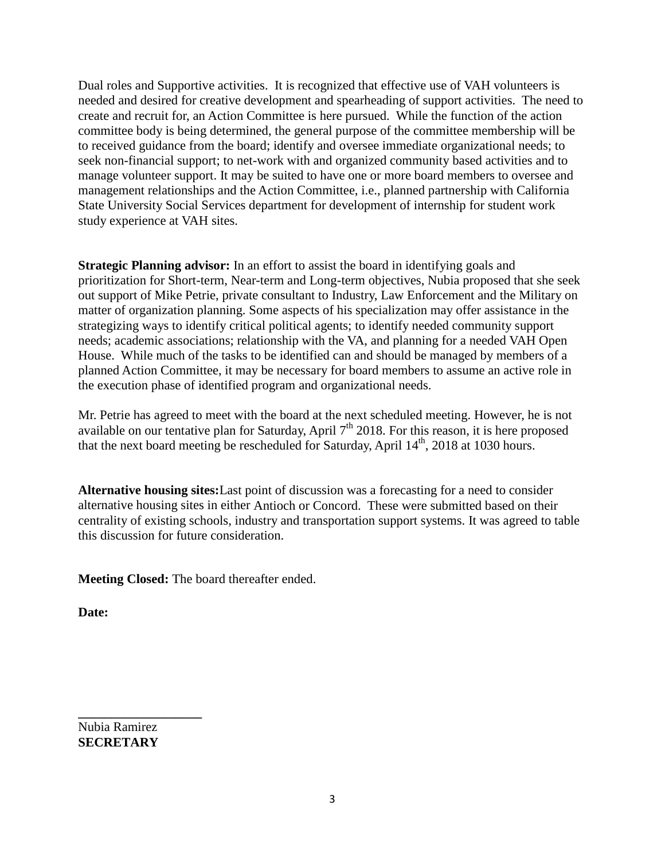Dual roles and Supportive activities. It is recognized that effective use of VAH volunteers is needed and desired for creative development and spearheading of support activities. The need to create and recruit for, an Action Committee is here pursued. While the function of the action committee body is being determined, the general purpose of the committee membership will be to received guidance from the board; identify and oversee immediate organizational needs; to seek non-financial support; to net-work with and organized community based activities and to manage volunteer support. It may be suited to have one or more board members to oversee and management relationships and the Action Committee, i.e., planned partnership with California State University Social Services department for development of internship for student work study experience at VAH sites.

**Strategic Planning advisor:** In an effort to assist the board in identifying goals and prioritization for Short-term, Near-term and Long-term objectives, Nubia proposed that she seek out support of Mike Petrie, private consultant to Industry, Law Enforcement and the Military on matter of organization planning. Some aspects of his specialization may offer assistance in the strategizing ways to identify critical political agents; to identify needed community support needs; academic associations; relationship with the VA, and planning for a needed VAH Open House. While much of the tasks to be identified can and should be managed by members of a planned Action Committee, it may be necessary for board members to assume an active role in the execution phase of identified program and organizational needs.

Mr. Petrie has agreed to meet with the board at the next scheduled meeting. However, he is not available on our tentative plan for Saturday, April 7<sup>th</sup> 2018. For this reason, it is here proposed that the next board meeting be rescheduled for Saturday, April  $14<sup>th</sup>$ , 2018 at 1030 hours.

**Alternative housing sites:**Last point of discussion was a forecasting for a need to consider alternative housing sites in either Antioch or Concord. These were submitted based on their centrality of existing schools, industry and transportation support systems. It was agreed to table this discussion for future consideration.

**Meeting Closed:** The board thereafter ended.

**Date:**

Nubia Ramirez **SECRETARY**

**\_\_\_\_\_\_\_\_\_\_\_\_\_\_\_\_\_\_\_**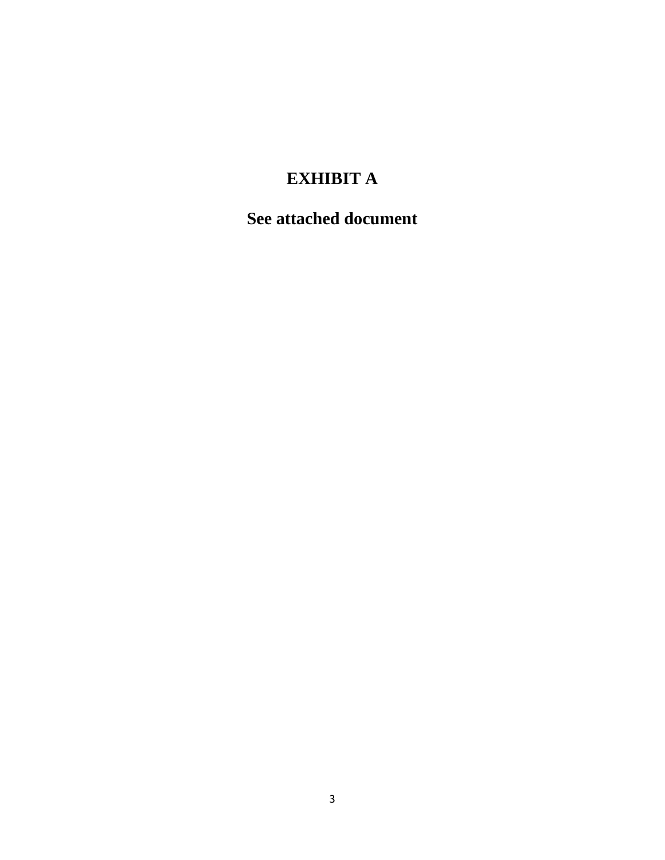# **EXHIBIT A**

## **See attached document**